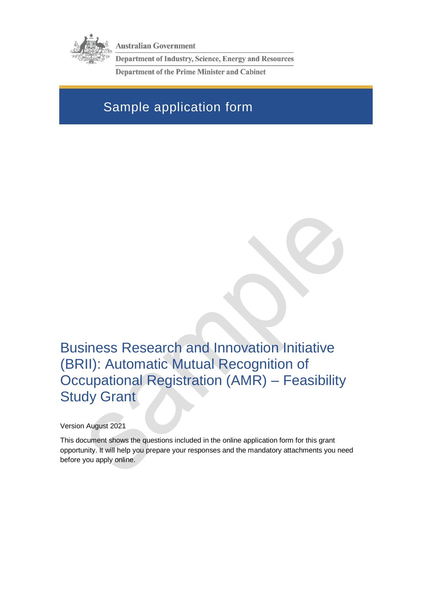

**Australian Government** 

Department of Industry, Science, Energy and Resources

**Department of the Prime Minister and Cabinet** 

# Sample application form

Business Research and Innovation Initiative (BRII): Automatic Mutual Recognition of Occupational Registration (AMR) – Feasibility Study Grant

Version August 2021

This document shows the questions included in the online application form for this grant opportunity. It will help you prepare your responses and the mandatory attachments you need before you apply online.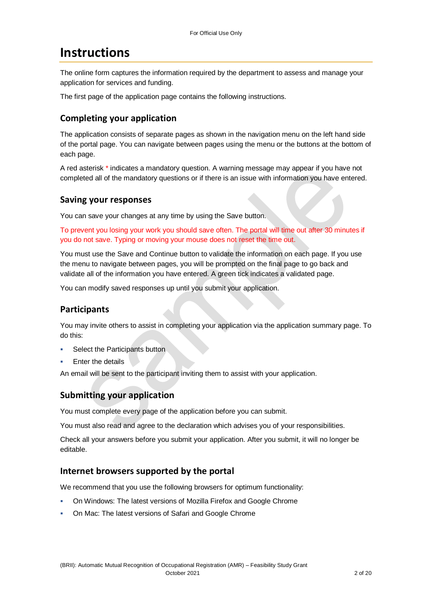## **Instructions**

The online form captures the information required by the department to assess and manage your application for services and funding.

The first page of the application page contains the following instructions.

### **Completing your application**

The application consists of separate pages as shown in the navigation menu on the left hand side of the portal page. You can navigate between pages using the menu or the buttons at the bottom of each page.

A red asterisk \* indicates a mandatory question. A warning message may appear if you have not completed all of the mandatory questions or if there is an issue with information you have entered.

#### **Saving your responses**

You can save your changes at any time by using the Save button.

To prevent you losing your work you should save often. The portal will time out after 30 minutes if you do not save. Typing or moving your mouse does not reset the time out.

You must use the Save and Continue button to validate the information on each page. If you use the menu to navigate between pages, you will be prompted on the final page to go back and validate all of the information you have entered. A green tick indicates a validated page.

You can modify saved responses up until you submit your application.

### **Participants**

You may invite others to assist in completing your application via the application summary page. To do this:

- Select the Participants button
- Enter the details

An email will be sent to the participant inviting them to assist with your application.

### **Submitting your application**

You must complete every page of the application before you can submit.

You must also read and agree to the declaration which advises you of your responsibilities.

Check all your answers before you submit your application. After you submit, it will no longer be editable.

#### **Internet browsers supported by the portal**

We recommend that you use the following browsers for optimum functionality:

- On Windows: The latest versions of Mozilla Firefox and Google Chrome
- On Mac: The latest versions of Safari and Google Chrome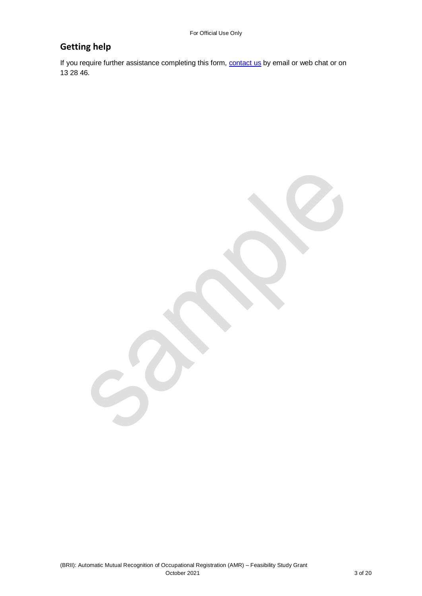## **Getting help**

If you require further assistance completing this form, **contact us** by email or web chat or on 13 28 46.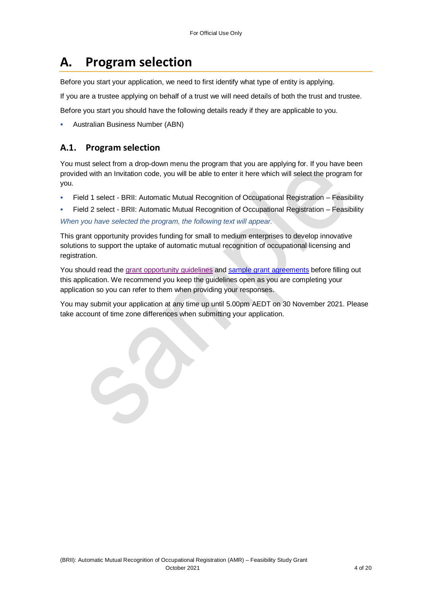# **A. Program selection**

Before you start your application, we need to first identify what type of entity is applying.

If you are a trustee applying on behalf of a trust we will need details of both the trust and trustee.

Before you start you should have the following details ready if they are applicable to you.

Australian Business Number (ABN)

### **A.1. Program selection**

You must select from a drop-down menu the program that you are applying for. If you have been provided with an Invitation code, you will be able to enter it here which will select the program for you.

- Field 1 select BRII: Automatic Mutual Recognition of Occupational Registration Feasibility
- Field 2 select BRII: Automatic Mutual Recognition of Occupational Registration Feasibility *When you have selected the program, the following text will appear.*

This grant opportunity provides funding for small to medium enterprises to develop innovative solutions to support the uptake of automatic mutual recognition of occupational licensing and registration.

You should read the [grant opportunity guidelines](https://business.gov.au/grants-and-programs/brii-automatic-mutual-recognition-of-occupational-registration#key-documents) and [sample grant agreements](https://business.gov.au/grants-and-programs/brii-automatic-mutual-recognition-of-occupational-registration#key-documents) before filling out this application. We recommend you keep the guidelines open as you are completing your application so you can refer to them when providing your responses.

You may submit your application at any time up until 5.00pm AEDT on 30 November 2021. Please take account of time zone differences when submitting your application.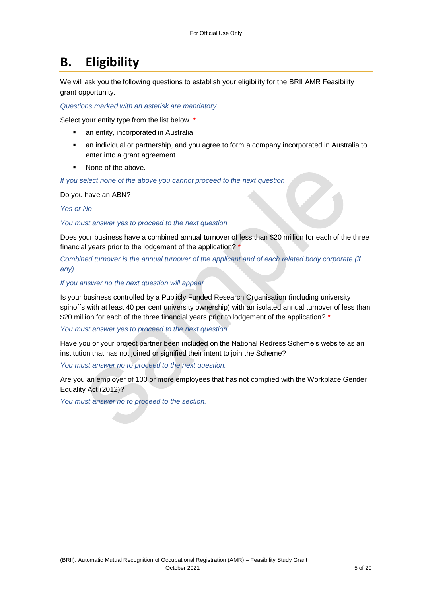## **B. Eligibility**

We will ask you the following questions to establish your eligibility for the BRII AMR Feasibility grant opportunity.

*Questions marked with an asterisk are mandatory.* 

Select your entity type from the list below. \*

- an entity, incorporated in Australia
- an individual or partnership, and you agree to form a company incorporated in Australia to enter into a grant agreement
- None of the above.

*If you select none of the above you cannot proceed to the next question*

Do you have an ABN?

*Yes or No*

*You must answer yes to proceed to the next question*

Does your business have a combined annual turnover of less than \$20 million for each of the three financial years prior to the lodgement of the application? \*

*Combined turnover is the annual turnover of the applicant and of each related body corporate (if any).* 

#### *If you answer no the next question will appear*

Is your business controlled by a Publicly Funded Research Organisation (including university spinoffs with at least 40 per cent university ownership) with an isolated annual turnover of less than \$20 million for each of the three financial years prior to lodgement of the application? \*

*You must answer yes to proceed to the next question*

Have you or your project partner been included on the National Redress Scheme's website as an institution that has not joined or signified their intent to join the Scheme?

*You must answer no to proceed to the next question.*

Are you an employer of 100 or more employees that has not complied with the Workplace Gender Equality Act (2012)?

*You must answer no to proceed to the section.*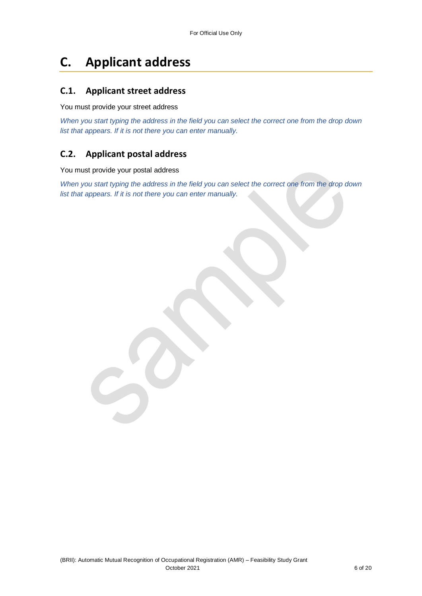# **C. Applicant address**

#### **C.1. Applicant street address**

You must provide your street address

*When you start typing the address in the field you can select the correct one from the drop down list that appears. If it is not there you can enter manually.*

### **C.2. Applicant postal address**

You must provide your postal address

*When you start typing the address in the field you can select the correct one from the drop down list that appears. If it is not there you can enter manually.*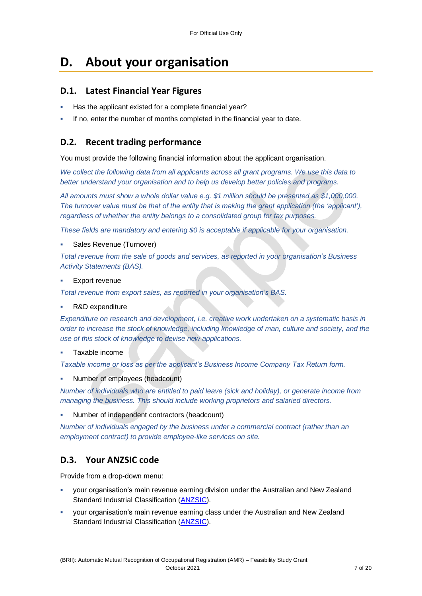# **D. About your organisation**

### **D.1. Latest Financial Year Figures**

- Has the applicant existed for a complete financial year?
- If no, enter the number of months completed in the financial year to date.

### **D.2. Recent trading performance**

You must provide the following financial information about the applicant organisation.

*We collect the following data from all applicants across all grant programs. We use this data to better understand your organisation and to help us develop better policies and programs.*

*All amounts must show a whole dollar value e.g. \$1 million should be presented as \$1,000,000. The turnover value must be that of the entity that is making the grant application (the 'applicant'), regardless of whether the entity belongs to a consolidated group for tax purposes.*

*These fields are mandatory and entering \$0 is acceptable if applicable for your organisation.*

Sales Revenue (Turnover)

*Total revenue from the sale of goods and services, as reported in your organisation's Business Activity Statements (BAS).*

Export revenue

*Total revenue from export sales, as reported in your organisation's BAS.*

R&D expenditure

*Expenditure on research and development, i.e. creative work undertaken on a systematic basis in order to increase the stock of knowledge, including knowledge of man, culture and society, and the use of this stock of knowledge to devise new applications.*

#### Taxable income

*Taxable income or loss as per the applicant's Business Income Company Tax Return form.*

Number of employees (headcount)

*Number of individuals who are entitled to paid leave (sick and holiday), or generate income from managing the business. This should include working proprietors and salaried directors.*

Number of independent contractors (headcount)

*Number of individuals engaged by the business under a commercial contract (rather than an employment contract) to provide employee-like services on site.*

### **D.3. Your ANZSIC code**

Provide from a drop-down menu:

- your organisation's main revenue earning division under the Australian and New Zealand Standard Industrial Classification [\(ANZSIC\)](https://www.abs.gov.au/ausstats/abs@.nsf/0/20C5B5A4F46DF95BCA25711F00146D75?opendocument).
- your organisation's main revenue earning class under the Australian and New Zealand Standard Industrial Classification [\(ANZSIC\)](https://www.abs.gov.au/ausstats/abs@.nsf/0/20C5B5A4F46DF95BCA25711F00146D75?opendocument).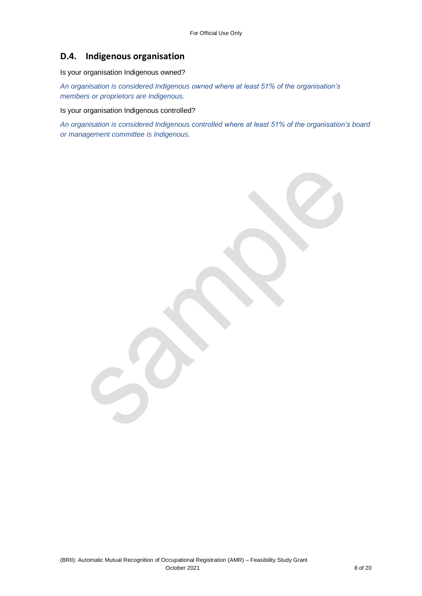### **D.4. Indigenous organisation**

Is your organisation Indigenous owned?

*An organisation is considered Indigenous owned where at least 51% of the organisation's members or proprietors are Indigenous.*

Is your organisation Indigenous controlled?

*An organisation is considered Indigenous controlled where at least 51% of the organisation's board or management committee is Indigenous.*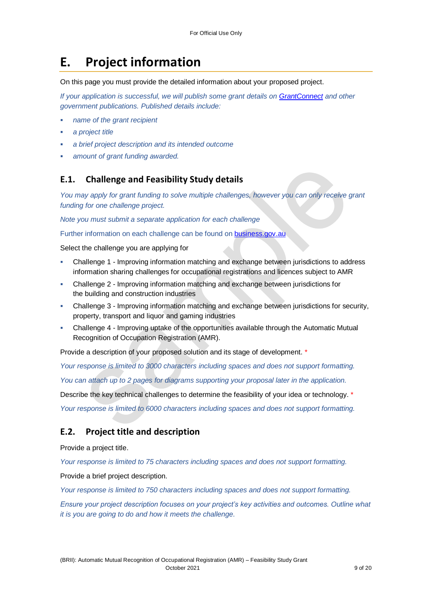# **E. Project information**

On this page you must provide the detailed information about your proposed project.

*If your application is successful, we will publish some grant details on [GrantConnect](http://www.grants.gov.au/) and other government publications. Published details include:*

- *name of the grant recipient*
- *a project title*
- *a brief project description and its intended outcome*
- *amount of grant funding awarded.*

### **E.1. Challenge and Feasibility Study details**

*You may apply for grant funding to solve multiple challenges, however you can only receive grant funding for one challenge project.*

*Note you must submit a separate application for each challenge*

Further information on each challenge can be found on **[business.gov.au](https://business.gov.au/grants-and-programs/brii-automatic-mutual-recognition-of-occupational-registration)** 

Select the challenge you are applying for

- Challenge 1 Improving information matching and exchange between jurisdictions to address information sharing challenges for occupational registrations and licences subject to AMR
- Challenge 2 Improving information matching and exchange between jurisdictions for the building and construction industries
- Challenge 3 Improving information matching and exchange between jurisdictions for security, property, transport and liquor and gaming industries
- Challenge 4 Improving uptake of the opportunities available through the Automatic Mutual Recognition of Occupation Registration (AMR).

Provide a description of your proposed solution and its stage of development. \*

*Your response is limited to 3000 characters including spaces and does not support formatting.*

*You can attach up to 2 pages for diagrams supporting your proposal later in the application.*

Describe the key technical challenges to determine the feasibility of your idea or technology. \* *Your response is limited to 6000 characters including spaces and does not support formatting.*

### **E.2. Project title and description**

Provide a project title.

*Your response is limited to 75 characters including spaces and does not support formatting.* 

#### Provide a brief project description.

*Your response is limited to 750 characters including spaces and does not support formatting.* 

*Ensure your project description focuses on your project's key activities and outcomes. Outline what it is you are going to do and how it meets the challenge.*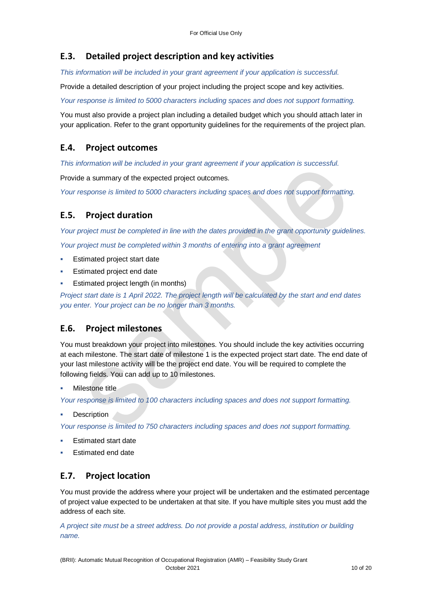### **E.3. Detailed project description and key activities**

*This information will be included in your grant agreement if your application is successful.*

Provide a detailed description of your project including the project scope and key activities.

*Your response is limited to 5000 characters including spaces and does not support formatting.* 

You must also provide a project plan including a detailed budget which you should attach later in your application. Refer to the grant opportunity guidelines for the requirements of the project plan.

### **E.4. Project outcomes**

*This information will be included in your grant agreement if your application is successful.*

Provide a summary of the expected project outcomes.

*Your response is limited to 5000 characters including spaces and does not support formatting.*

### **E.5. Project duration**

*Your project must be completed in line with the dates provided in the grant opportunity guidelines. Your project must be completed within 3 months of entering into a grant agreement*

- Estimated project start date
- Estimated project end date
- Estimated project length (in months)

*Project start date is 1 April 2022. The project length will be calculated by the start and end dates you enter. Your project can be no longer than 3 months.*

### **E.6. Project milestones**

You must breakdown your project into milestones. You should include the key activities occurring at each milestone. The start date of milestone 1 is the expected project start date. The end date of your last milestone activity will be the project end date. You will be required to complete the following fields. You can add up to 10 milestones.

Milestone title

*Your response is limited to 100 characters including spaces and does not support formatting.*

**Description** 

*Your response is limited to 750 characters including spaces and does not support formatting.*

- Estimated start date
- Estimated end date

### **E.7. Project location**

You must provide the address where your project will be undertaken and the estimated percentage of project value expected to be undertaken at that site. If you have multiple sites you must add the address of each site.

*A project site must be a street address. Do not provide a postal address, institution or building name.*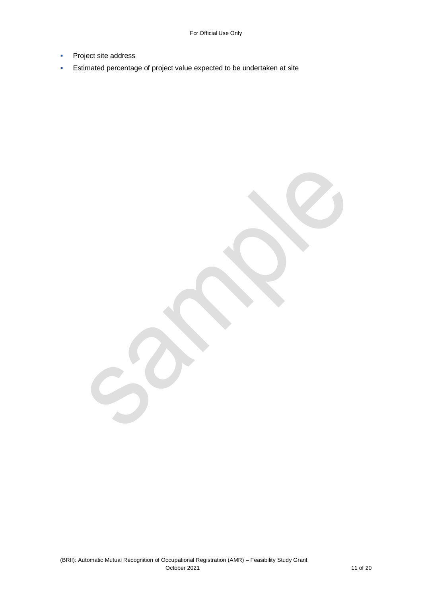- Project site address
- **Estimated percentage of project value expected to be undertaken at site**

(BRII): Automatic Mutual Recognition of Occupational Registration (AMR) – Feasibility Study Grant October 2021 11 of 20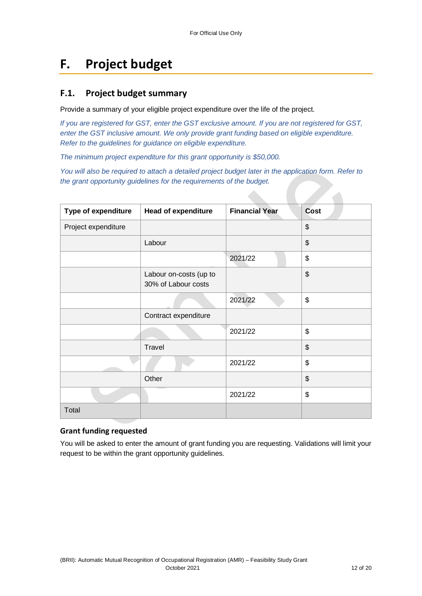## **F. Project budget**

#### **F.1. Project budget summary**

Provide a summary of your eligible project expenditure over the life of the project.

*If you are registered for GST, enter the GST exclusive amount. If you are not registered for GST, enter the GST inclusive amount. We only provide grant funding based on eligible expenditure. Refer to the guidelines for guidance on eligible expenditure.*

*The minimum project expenditure for this grant opportunity is \$50,000.*

*You will also be required to attach a detailed project budget later in the application form. Refer to the grant opportunity guidelines for the requirements of the budget.*

| Type of expenditure | <b>Head of expenditure</b>                    | <b>Financial Year</b> | <b>Cost</b>               |
|---------------------|-----------------------------------------------|-----------------------|---------------------------|
| Project expenditure |                                               |                       | $\frac{1}{2}$             |
|                     | Labour                                        |                       | $\boldsymbol{\mathsf{S}}$ |
|                     |                                               | 2021/22               | $\frac{1}{2}$             |
|                     | Labour on-costs (up to<br>30% of Labour costs |                       | $\frac{1}{2}$             |
|                     |                                               | 2021/22               | \$                        |
|                     | Contract expenditure                          |                       |                           |
|                     |                                               | 2021/22               | \$                        |
|                     | Travel                                        |                       | $\frac{1}{2}$             |
|                     |                                               | 2021/22               | \$                        |
|                     | Other                                         |                       | $\frac{1}{2}$             |
|                     |                                               | 2021/22               | \$                        |
| Total               |                                               |                       |                           |

#### **Grant funding requested**

You will be asked to enter the amount of grant funding you are requesting. Validations will limit your request to be within the grant opportunity guidelines.

 $\mathcal{A}$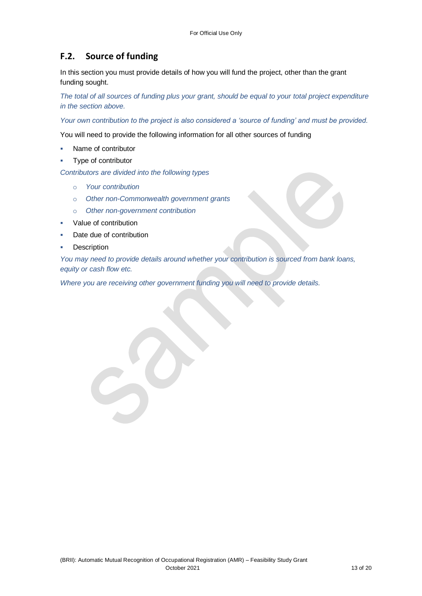### **F.2. Source of funding**

In this section you must provide details of how you will fund the project, other than the grant funding sought.

*The total of all sources of funding plus your grant, should be equal to your total project expenditure in the section above.*

*Your own contribution to the project is also considered a 'source of funding' and must be provided.*

You will need to provide the following information for all other sources of funding

- Name of contributor
- Type of contributor

*Contributors are divided into the following types*

- o *Your contribution*
- o *Other non-Commonwealth government grants*
- o *Other non-government contribution*

- Value of contribution
- Date due of contribution
- **Description**

*You may need to provide details around whether your contribution is sourced from bank loans, equity or cash flow etc.* 

*Where you are receiving other government funding you will need to provide details.*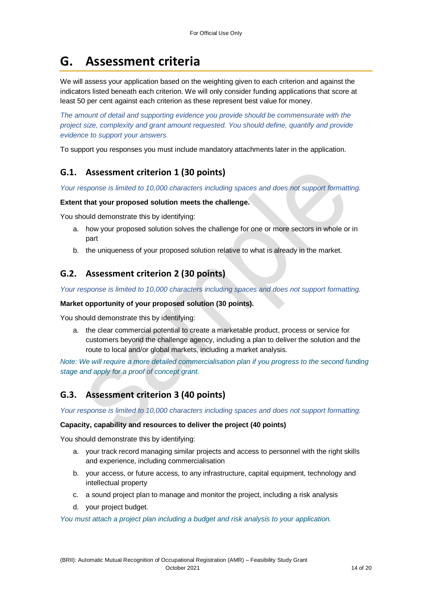# **G. Assessment criteria**

We will assess your application based on the weighting given to each criterion and against the indicators listed beneath each criterion. We will only consider funding applications that score at least 50 per cent against each criterion as these represent best value for money.

*The amount of detail and supporting evidence you provide should be commensurate with the project size, complexity and grant amount requested. You should define, quantify and provide evidence to support your answers.*

To support you responses you must include mandatory attachments later in the application.

### **G.1. Assessment criterion 1 (30 points)**

*Your response is limited to 10,000 characters including spaces and does not support formatting.* 

#### **Extent that your proposed solution meets the challenge.**

You should demonstrate this by identifying:

- a. how your proposed solution solves the challenge for one or more sectors in whole or in part
- b. the uniqueness of your proposed solution relative to what is already in the market.

### **G.2. Assessment criterion 2 (30 points)**

*Your response is limited to 10,000 characters including spaces and does not support formatting.* 

#### **Market opportunity of your proposed solution (30 points).**

You should demonstrate this by identifying:

a. the clear commercial potential to create a marketable product, process or service for customers beyond the challenge agency, including a plan to deliver the solution and the route to local and/or global markets, including a market analysis.

*Note: We will require a more detailed commercialisation plan if you progress to the second funding stage and apply for a proof of concept grant.*

### **G.3. Assessment criterion 3 (40 points)**

*Your response is limited to 10,000 characters including spaces and does not support formatting.* 

#### **Capacity, capability and resources to deliver the project (40 points)**

You should demonstrate this by identifying:

- a. your track record managing similar projects and access to personnel with the right skills and experience, including commercialisation
- b. your access, or future access, to any infrastructure, capital equipment, technology and intellectual property
- c. a sound project plan to manage and monitor the project, including a risk analysis
- d. your project budget.

#### *You must attach a project plan including a budget and risk analysis to your application.*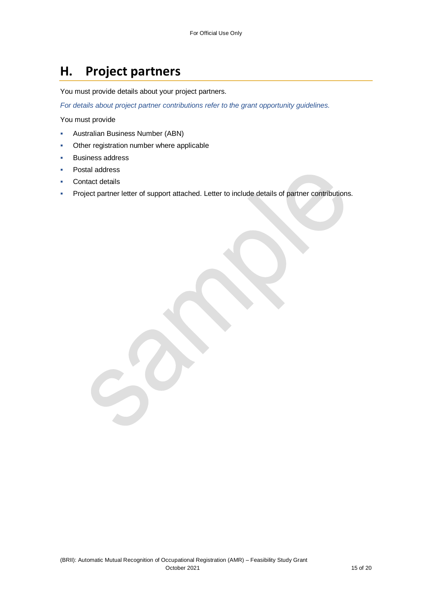# **H. Project partners**

You must provide details about your project partners.

*For details about project partner contributions refer to the grant opportunity guidelines.*

You must provide

- Australian Business Number (ABN)
- Other registration number where applicable

- Business address
- Postal address
- Contact details
- Project partner letter of support attached. Letter to include details of partner contributions.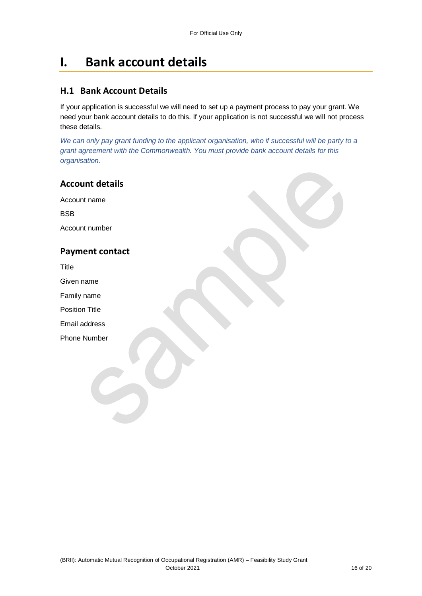## **I. Bank account details**

### **H.1 Bank Account Details**

If your application is successful we will need to set up a payment process to pay your grant. We need your bank account details to do this. If your application is not successful we will not process these details.

We can only pay grant funding to the applicant organisation, who if successful will be party to a *grant agreement with the Commonwealth. You must provide bank account details for this organisation.*

### **Account details**

Account name

**BSB** 

Account number

### **Payment contact**

Title

Given name

Family name

Position Title

Email address

Phone Number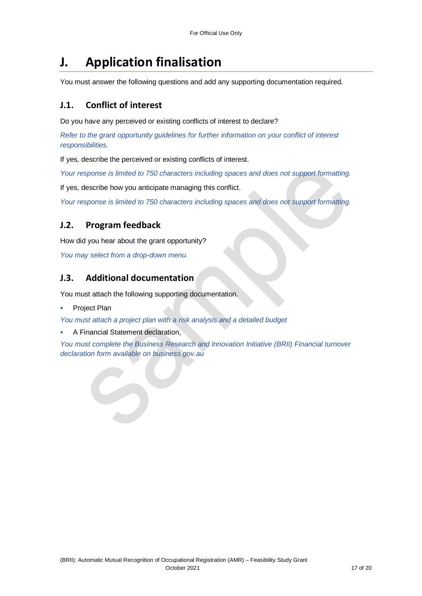## **J. Application finalisation**

You must answer the following questions and add any supporting documentation required.

### **J.1. Conflict of interest**

Do you have any perceived or existing conflicts of interest to declare?

*Refer to the grant opportunity guidelines for further information on your conflict of interest responsibilities.*

If yes, describe the perceived or existing conflicts of interest.

*Your response is limited to 750 characters including spaces and does not support formatting.*

If yes, describe how you anticipate managing this conflict.

*Your response is limited to 750 characters including spaces and does not support formatting.*

### **J.2. Program feedback**

How did you hear about the grant opportunity?

*You may select from a drop-down menu.* 

### **J.3. Additional documentation**

You must attach the following supporting documentation.

Project Plan

*You must attach a project plan with a risk analysis and a detailed budget*

A Financial Statement declaration,

*You must complete the Business Research and Innovation Initiative (BRII) Financial turnover declaration form available on business.gov.au*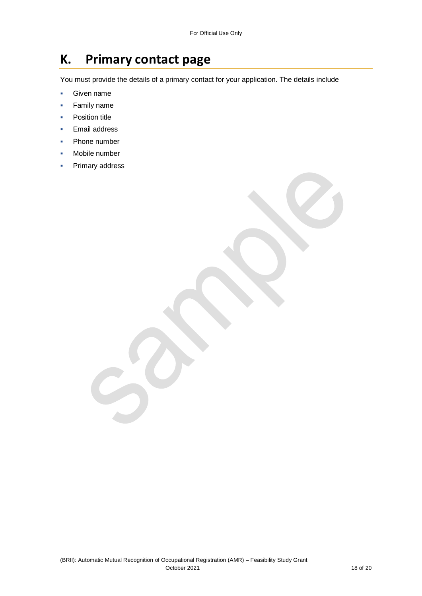## **K. Primary contact page**

You must provide the details of a primary contact for your application. The details include

- **Given name**
- Family name
- **•** Position title
- Email address
- Phone number
- Mobile number
- Primary address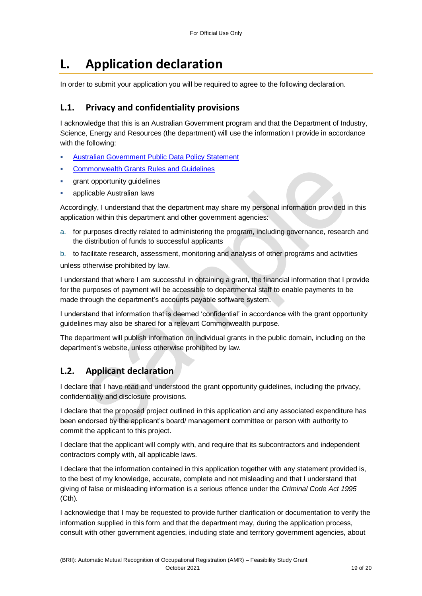## **L. Application declaration**

In order to submit your application you will be required to agree to the following declaration.

### **L.1. Privacy and confidentiality provisions**

I acknowledge that this is an Australian Government program and that the Department of Industry, Science, Energy and Resources (the department) will use the information I provide in accordance with the following:

- [Australian Government Public Data Policy Statement](https://www.pmc.gov.au/sites/default/files/publications/aust_govt_public_data_policy_statement_1.pdf)
- [Commonwealth Grants Rules and Guidelines](https://www.finance.gov.au/government/commonwealth-grants/commonwealth-grants-rules-guidelines)
- grant opportunity guidelines
- applicable Australian laws

Accordingly, I understand that the department may share my personal information provided in this application within this department and other government agencies:

a. for purposes directly related to administering the program, including governance, research and the distribution of funds to successful applicants

b. to facilitate research, assessment, monitoring and analysis of other programs and activities unless otherwise prohibited by law.

I understand that where I am successful in obtaining a grant, the financial information that I provide for the purposes of payment will be accessible to departmental staff to enable payments to be made through the department's accounts payable software system.

I understand that information that is deemed 'confidential' in accordance with the grant opportunity guidelines may also be shared for a relevant Commonwealth purpose.

The department will publish information on individual grants in the public domain, including on the department's website, unless otherwise prohibited by law.

### **L.2. Applicant declaration**

I declare that I have read and understood the grant opportunity guidelines, including the privacy, confidentiality and disclosure provisions.

I declare that the proposed project outlined in this application and any associated expenditure has been endorsed by the applicant's board/ management committee or person with authority to commit the applicant to this project.

I declare that the applicant will comply with, and require that its subcontractors and independent contractors comply with, all applicable laws.

I declare that the information contained in this application together with any statement provided is, to the best of my knowledge, accurate, complete and not misleading and that I understand that giving of false or misleading information is a serious offence under the *Criminal Code Act 1995*  (Cth)*.*

I acknowledge that I may be requested to provide further clarification or documentation to verify the information supplied in this form and that the department may, during the application process, consult with other government agencies, including state and territory government agencies, about